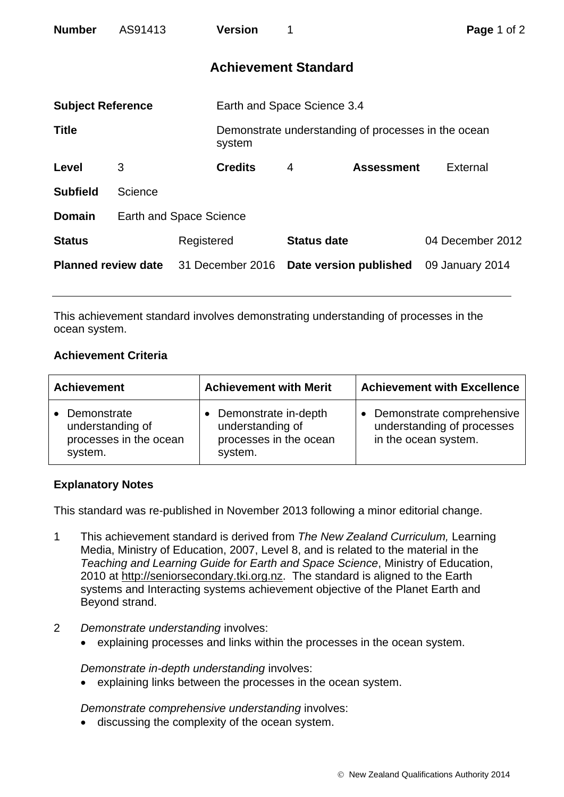| <b>Number</b>              | AS91413 |                                | <b>Version</b>              | 1                           |                                                     | Page 1 of 2      |  |
|----------------------------|---------|--------------------------------|-----------------------------|-----------------------------|-----------------------------------------------------|------------------|--|
|                            |         |                                |                             | <b>Achievement Standard</b> |                                                     |                  |  |
| <b>Subject Reference</b>   |         |                                | Earth and Space Science 3.4 |                             |                                                     |                  |  |
| <b>Title</b>               |         |                                | system                      |                             | Demonstrate understanding of processes in the ocean |                  |  |
| Level                      | 3       |                                | <b>Credits</b>              | $\overline{4}$              | <b>Assessment</b>                                   | External         |  |
| <b>Subfield</b>            | Science |                                |                             |                             |                                                     |                  |  |
| <b>Domain</b>              |         | <b>Earth and Space Science</b> |                             |                             |                                                     |                  |  |
| <b>Status</b>              |         | Registered                     |                             | <b>Status date</b>          |                                                     | 04 December 2012 |  |
| <b>Planned review date</b> |         | 31 December 2016               |                             | Date version published      |                                                     | 09 January 2014  |  |

This achievement standard involves demonstrating understanding of processes in the ocean system.

## **Achievement Criteria**

| <b>Achievement</b>                                                   | <b>Achievement with Merit</b>                                                 | <b>Achievement with Excellence</b>                                                |  |
|----------------------------------------------------------------------|-------------------------------------------------------------------------------|-----------------------------------------------------------------------------------|--|
| Demonstrate<br>understanding of<br>processes in the ocean<br>system. | Demonstrate in-depth<br>understanding of<br>processes in the ocean<br>system. | • Demonstrate comprehensive<br>understanding of processes<br>in the ocean system. |  |

## **Explanatory Notes**

This standard was re-published in November 2013 following a minor editorial change.

- 1 This achievement standard is derived from *The New Zealand Curriculum,* Learning Media, Ministry of Education, 2007, Level 8, and is related to the material in the *Teaching and Learning Guide for Earth and Space Science*, Ministry of Education, 2010 at [http://seniorsecondary.tki.org.nz.](http://seniorsecondary.tki.org.nz/) The standard is aligned to the Earth systems and Interacting systems achievement objective of the Planet Earth and Beyond strand.
- 2 *Demonstrate understanding* involves:
	- explaining processes and links within the processes in the ocean system.

*Demonstrate in-depth understanding* involves:

explaining links between the processes in the ocean system.

*Demonstrate comprehensive understanding* involves:

discussing the complexity of the ocean system.